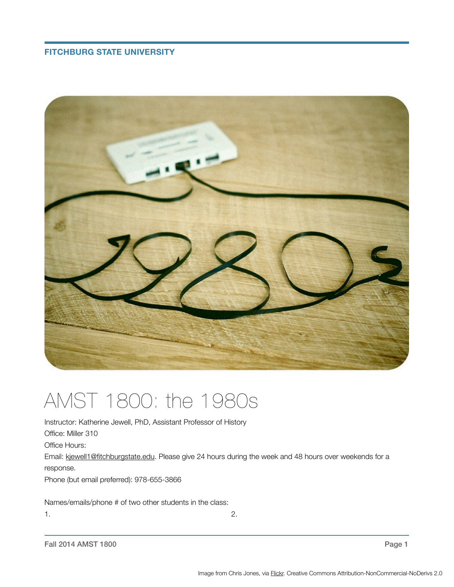# **FITCHBURG STATE UNIVERSITY**



# AMST 1800: the 1980s

Instructor: Katherine Jewell, PhD, Assistant Professor of History Office: Miller 310 Office Hours: Email: [kjewell1@fitchburgstate.edu.](mailto:kjewell1@fitchburgstate.edu) Please give 24 hours during the week and 48 hours over weekends for a response.

Phone (but email preferred): 978-655-3866

Names/emails/phone # of two other students in the class:

 $1.$   $2.$ 

Fall 2014 AMST 1800 Page 1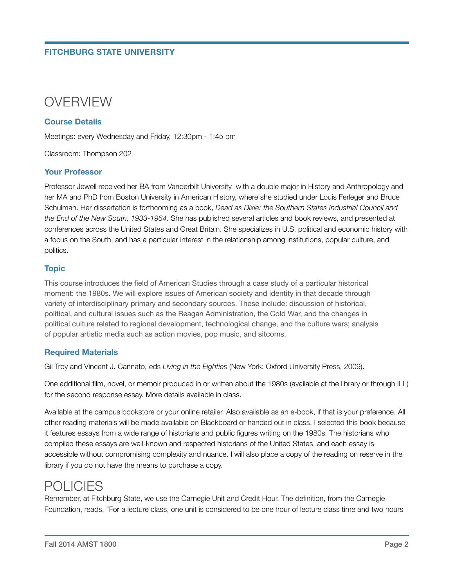# **FITCHBURG STATE UNIVERSITY**



#### **Course Details**

Meetings: every Wednesday and Friday, 12:30pm - 1:45 pm

Classroom: Thompson 202

#### **Your Professor**

Professor Jewell received her BA from Vanderbilt University with a double major in History and Anthropology and her MA and PhD from Boston University in American History, where she studied under Louis Ferleger and Bruce Schulman. Her dissertation is forthcoming as a book, *Dead as Dixie: the Southern States Industrial Council and the End of the New South, 1933-1964*. She has published several articles and book reviews, and presented at conferences across the United States and Great Britain. She specializes in U.S. political and economic history with a focus on the South, and has a particular interest in the relationship among institutions, popular culture, and politics.

#### **Topic**

This course introduces the field of American Studies through a case study of a particular historical moment: the 1980s. We will explore issues of American society and identity in that decade through variety of interdisciplinary primary and secondary sources. These include: discussion of historical, political, and cultural issues such as the Reagan Administration, the Cold War, and the changes in political culture related to regional development, technological change, and the culture wars; analysis of popular artistic media such as action movies, pop music, and sitcoms.

#### **Required Materials**

Gil Troy and Vincent J. Cannato, eds *Living in the Eighties* (New York: Oxford University Press, 2009).

One additional film, novel, or memoir produced in or written about the 1980s (available at the library or through ILL) for the second response essay. More details available in class.

Available at the campus bookstore or your online retailer. Also available as an e-book, if that is your preference. All other reading materials will be made available on Blackboard or handed out in class. I selected this book because it features essays from a wide range of historians and public figures writing on the 1980s. The historians who compiled these essays are well-known and respected historians of the United States, and each essay is accessible without compromising complexity and nuance. I will also place a copy of the reading on reserve in the library if you do not have the means to purchase a copy.

# POLICIES

Remember, at Fitchburg State, we use the Carnegie Unit and Credit Hour. The definition, from the Carnegie Foundation, reads, "For a lecture class, one unit is considered to be one hour of lecture class time and two hours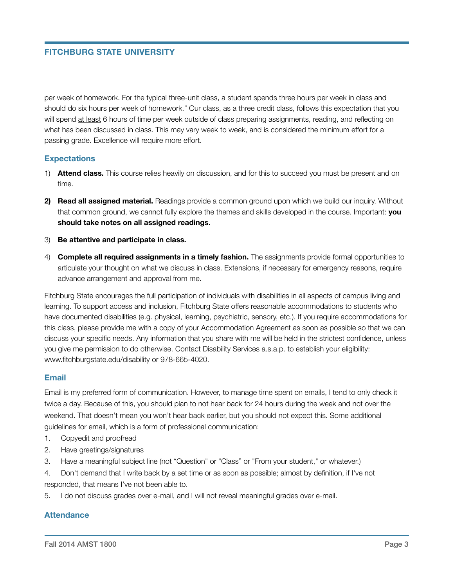# **FITCHBURG STATE UNIVERSITY**

per week of homework. For the typical three-unit class, a student spends three hours per week in class and should do six hours per week of homework." Our class, as a three credit class, follows this expectation that you will spend at least 6 hours of time per week outside of class preparing assignments, reading, and reflecting on what has been discussed in class. This may vary week to week, and is considered the minimum effort for a passing grade. Excellence will require more effort.

#### **Expectations**

- 1) **Attend class.** This course relies heavily on discussion, and for this to succeed you must be present and on time.
- **2) Read all assigned material.** Readings provide a common ground upon which we build our inquiry. Without that common ground, we cannot fully explore the themes and skills developed in the course. Important: **you should take notes on all assigned readings.**
- 3) **Be attentive and participate in class.**
- 4) **Complete all required assignments in a timely fashion.** The assignments provide formal opportunities to articulate your thought on what we discuss in class. Extensions, if necessary for emergency reasons, require advance arrangement and approval from me.

Fitchburg State encourages the full participation of individuals with disabilities in all aspects of campus living and learning. To support access and inclusion, Fitchburg State offers reasonable accommodations to students who have documented disabilities (e.g. physical, learning, psychiatric, sensory, etc.). If you require accommodations for this class, please provide me with a copy of your Accommodation Agreement as soon as possible so that we can discuss your specific needs. Any information that you share with me will be held in the strictest confidence, unless you give me permission to do otherwise. Contact Disability Services a.s.a.p. to establish your eligibility: www.fitchburgstate.edu/disability or 978-665-4020.

#### **Email**

Email is my preferred form of communication. However, to manage time spent on emails, I tend to only check it twice a day. Because of this, you should plan to not hear back for 24 hours during the week and not over the weekend. That doesn't mean you won't hear back earlier, but you should not expect this. Some additional guidelines for email, which is a form of professional communication:

- 1. Copyedit and proofread
- 2. Have greetings/signatures
- 3. Have a meaningful subject line (not "Question" or "Class" or "From your student," or whatever.)
- 4. Don't demand that I write back by a set time or as soon as possible; almost by definition, if I've not responded, that means I've not been able to.
- 5. I do not discuss grades over e-mail, and I will not reveal meaningful grades over e-mail.

#### **Attendance**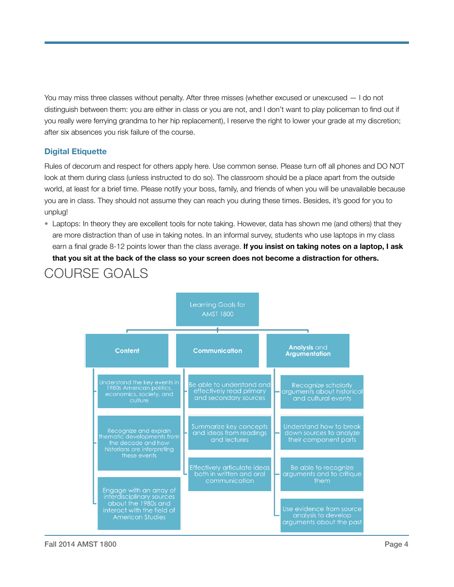You may miss three classes without penalty. After three misses (whether excused or unexcused — I do not distinguish between them: you are either in class or you are not, and I don't want to play policeman to find out if you really were ferrying grandma to her hip replacement), I reserve the right to lower your grade at my discretion; after six absences you risk failure of the course.

# **Digital Etiquette**

COURSE GOALS

Rules of decorum and respect for others apply here. Use common sense. Please turn off all phones and DO NOT look at them during class (unless instructed to do so). The classroom should be a place apart from the outside world, at least for a brief time. Please notify your boss, family, and friends of when you will be unavailable because you are in class. They should not assume they can reach you during these times. Besides, it's good for you to unplug!

• Laptops: In theory they are excellent tools for note taking. However, data has shown me (and others) that they are more distraction than of use in taking notes. In an informal survey, students who use laptops in my class earn a final grade 8-12 points lower than the class average. **If you insist on taking notes on a laptop, I ask that you sit at the back of the class so your screen does not become a distraction for others.**

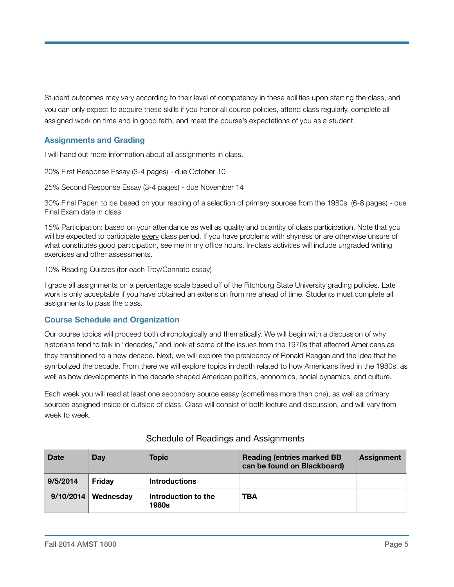Student outcomes may vary according to their level of competency in these abilities upon starting the class, and you can only expect to acquire these skills if you honor all course policies, attend class regularly, complete all assigned work on time and in good faith, and meet the course's expectations of you as a student.

# **Assignments and Grading**

I will hand out more information about all assignments in class.

20% First Response Essay (3-4 pages) - due October 10

25% Second Response Essay (3-4 pages) - due November 14

30% Final Paper: to be based on your reading of a selection of primary sources from the 1980s. (6-8 pages) - due Final Exam date in class

15% Participation: based on your attendance as well as quality and quantity of class participation. Note that you will be expected to participate every class period. If you have problems with shyness or are otherwise unsure of what constitutes good participation, see me in my office hours. In-class activities will include ungraded writing exercises and other assessments.

10% Reading Quizzes (for each Troy/Cannato essay)

I grade all assignments on a percentage scale based off of the Fitchburg State University grading policies. Late work is only acceptable if you have obtained an extension from me ahead of time. Students must complete all assignments to pass the class.

# **Course Schedule and Organization**

Our course topics will proceed both chronologically and thematically. We will begin with a discussion of why historians tend to talk in "decades," and look at some of the issues from the 1970s that affected Americans as they transitioned to a new decade. Next, we will explore the presidency of Ronald Reagan and the idea that he symbolized the decade. From there we will explore topics in depth related to how Americans lived in the 1980s, as well as how developments in the decade shaped American politics, economics, social dynamics, and culture.

Each week you will read at least one secondary source essay (sometimes more than one), as well as primary sources assigned inside or outside of class. Class will consist of both lecture and discussion, and will vary from week to week.

| <b>Date</b> | Dav                   | Topic                               | <b>Reading (entries marked BB</b><br>can be found on Blackboard) | <b>Assignment</b> |
|-------------|-----------------------|-------------------------------------|------------------------------------------------------------------|-------------------|
| 9/5/2014    | Fridav                | <b>Introductions</b>                |                                                                  |                   |
|             | $9/10/2014$ Wednesday | Introduction to the<br><b>1980s</b> | TBA                                                              |                   |

# Schedule of Readings and Assignments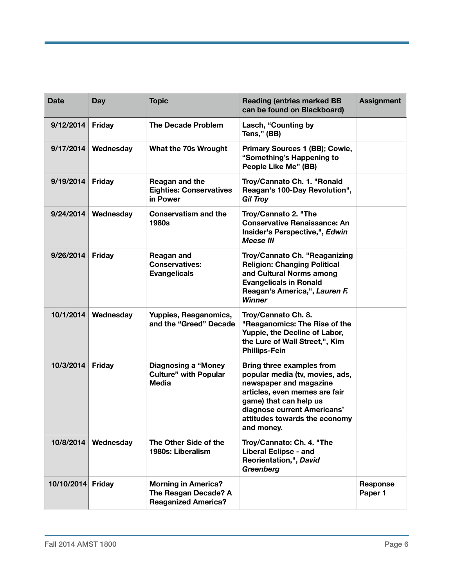| <b>Date</b>       | Day           | <b>Topic</b>                                                                     | <b>Reading (entries marked BB</b><br>can be found on Blackboard)                                                                                                                                                                | <b>Assignment</b>   |
|-------------------|---------------|----------------------------------------------------------------------------------|---------------------------------------------------------------------------------------------------------------------------------------------------------------------------------------------------------------------------------|---------------------|
| 9/12/2014         | <b>Friday</b> | <b>The Decade Problem</b>                                                        | Lasch, "Counting by<br>Tens," (BB)                                                                                                                                                                                              |                     |
| 9/17/2014         | Wednesday     | What the 70s Wrought                                                             | Primary Sources 1 (BB); Cowie,<br>"Something's Happening to<br>People Like Me" (BB)                                                                                                                                             |                     |
| 9/19/2014         | <b>Friday</b> | Reagan and the<br><b>Eighties: Conservatives</b><br>in Power                     | Troy/Cannato Ch. 1. "Ronald<br>Reagan's 100-Day Revolution",<br><b>Gil Troy</b>                                                                                                                                                 |                     |
| 9/24/2014         | Wednesday     | <b>Conservatism and the</b><br><b>1980s</b>                                      | Troy/Cannato 2. "The<br><b>Conservative Renaissance: An</b><br>Insider's Perspective,", Edwin<br><b>Meese III</b>                                                                                                               |                     |
| 9/26/2014         | <b>Friday</b> | <b>Reagan and</b><br><b>Conservatives:</b><br><b>Evangelicals</b>                | Troy/Cannato Ch. "Reaganizing<br><b>Religion: Changing Political</b><br>and Cultural Norms among<br><b>Evangelicals in Ronald</b><br>Reagan's America,", Lauren F.<br><b>Winner</b>                                             |                     |
| 10/1/2014         | Wednesday     | Yuppies, Reaganomics,<br>and the "Greed" Decade                                  | Troy/Cannato Ch. 8.<br>"Reaganomics: The Rise of the<br>Yuppie, the Decline of Labor,<br>the Lure of Wall Street,", Kim<br><b>Phillips-Fein</b>                                                                                 |                     |
| 10/3/2014         | <b>Friday</b> | <b>Diagnosing a "Money</b><br><b>Culture" with Popular</b><br><b>Media</b>       | Bring three examples from<br>popular media (tv, movies, ads,<br>newspaper and magazine<br>articles, even memes are fair<br>game) that can help us<br>diagnose current Americans'<br>attitudes towards the economy<br>and money. |                     |
| 10/8/2014         | Wednesday     | The Other Side of the<br>1980s: Liberalism                                       | Troy/Cannato: Ch. 4. "The<br><b>Liberal Eclipse - and</b><br>Reorientation,", David<br>Greenberg                                                                                                                                |                     |
| 10/10/2014 Friday |               | <b>Morning in America?</b><br>The Reagan Decade? A<br><b>Reaganized America?</b> |                                                                                                                                                                                                                                 | Response<br>Paper 1 |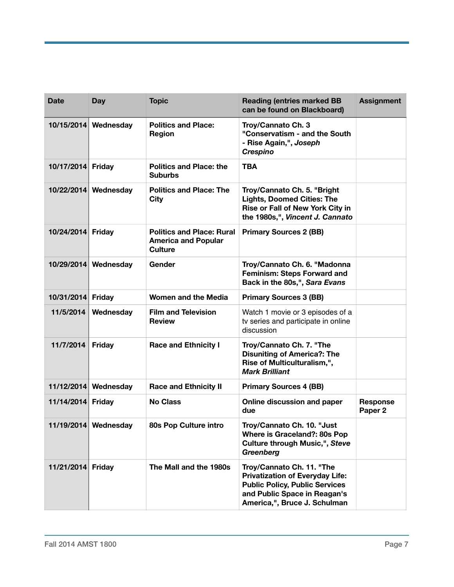| <b>Date</b>       | Day                  | <b>Topic</b>                                                                     | <b>Reading (entries marked BB</b><br>can be found on Blackboard)                                                                                                             | <b>Assignment</b>                     |
|-------------------|----------------------|----------------------------------------------------------------------------------|------------------------------------------------------------------------------------------------------------------------------------------------------------------------------|---------------------------------------|
|                   | 10/15/2014 Wednesday | <b>Politics and Place:</b><br><b>Region</b>                                      | Troy/Cannato Ch. 3<br>"Conservatism - and the South<br>- Rise Again,", Joseph<br><b>Crespino</b>                                                                             |                                       |
| 10/17/2014 Friday |                      | <b>Politics and Place: the</b><br><b>Suburbs</b>                                 | <b>TBA</b>                                                                                                                                                                   |                                       |
|                   | 10/22/2014 Wednesday | <b>Politics and Place: The</b><br>City                                           | Troy/Cannato Ch. 5. "Bright<br><b>Lights, Doomed Cities: The</b><br>Rise or Fall of New York City in<br>the 1980s,", Vincent J. Cannato                                      |                                       |
| 10/24/2014 Friday |                      | <b>Politics and Place: Rural</b><br><b>America and Popular</b><br><b>Culture</b> | <b>Primary Sources 2 (BB)</b>                                                                                                                                                |                                       |
|                   | 10/29/2014 Wednesday | Gender                                                                           | Troy/Cannato Ch. 6. "Madonna<br><b>Feminism: Steps Forward and</b><br>Back in the 80s,", Sara Evans                                                                          |                                       |
| 10/31/2014 Friday |                      | Women and the Media                                                              | <b>Primary Sources 3 (BB)</b>                                                                                                                                                |                                       |
| 11/5/2014         | Wednesday            | <b>Film and Television</b><br><b>Review</b>                                      | Watch 1 movie or 3 episodes of a<br>tv series and participate in online<br>discussion                                                                                        |                                       |
| 11/7/2014         | <b>Friday</b>        | <b>Race and Ethnicity I</b>                                                      | Troy/Cannato Ch. 7. "The<br><b>Disuniting of America?: The</b><br>Rise of Multiculturalism,",<br><b>Mark Brilliant</b>                                                       |                                       |
|                   | 11/12/2014 Wednesday | <b>Race and Ethnicity II</b>                                                     | <b>Primary Sources 4 (BB)</b>                                                                                                                                                |                                       |
| 11/14/2014 Friday |                      | <b>No Class</b>                                                                  | Online discussion and paper<br>due                                                                                                                                           | <b>Response</b><br>Paper <sub>2</sub> |
|                   | 11/19/2014 Wednesday | 80s Pop Culture intro                                                            | Troy/Cannato Ch. 10. "Just<br>Where is Graceland?: 80s Pop<br><b>Culture through Music,", Steve</b><br>Greenberg                                                             |                                       |
| 11/21/2014 Friday |                      | The Mall and the 1980s                                                           | Troy/Cannato Ch. 11. "The<br><b>Privatization of Everyday Life:</b><br><b>Public Policy, Public Services</b><br>and Public Space in Reagan's<br>America,", Bruce J. Schulman |                                       |